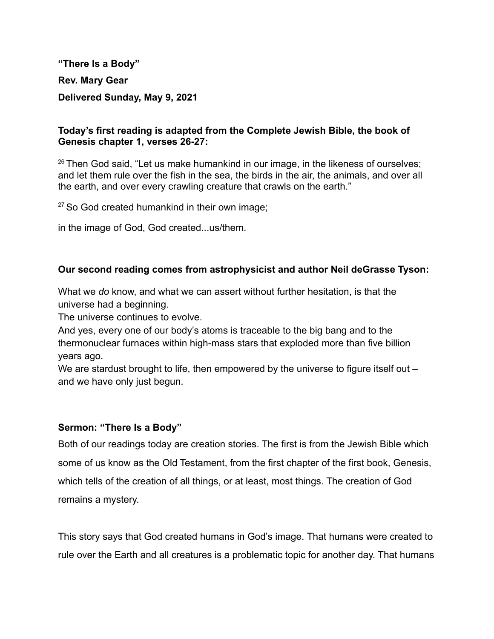**"There Is a Body" Rev. Mary Gear Delivered Sunday, May 9, 2021**

## **Today's first reading is adapted from the Complete Jewish Bible, the book of Genesis chapter 1, verses 26-27:**

 $26$  Then God said, "Let us make humankind in our image, in the likeness of ourselves; and let them rule over the fish in the sea, the birds in the air, the animals, and over all the earth, and over every crawling creature that crawls on the earth."

 $27$  So God created humankind in their own image;

in the image of God, God created...us/them.

## **Our second reading comes from astrophysicist and author Neil deGrasse Tyson:**

What we *do* know, and what we can assert without further hesitation, is that the universe had a beginning.

The universe continues to evolve.

And yes, every one of our body's atoms is traceable to the big bang and to the thermonuclear furnaces within high-mass stars that exploded more than five billion years ago.

We are stardust brought to life, then empowered by the universe to figure itself out – and we have only just begun.

## **Sermon: "There Is a Body"**

Both of our readings today are creation stories. The first is from the Jewish Bible which some of us know as the Old Testament, from the first chapter of the first book, Genesis, which tells of the creation of all things, or at least, most things. The creation of God remains a mystery.

This story says that God created humans in God's image. That humans were created to rule over the Earth and all creatures is a problematic topic for another day. That humans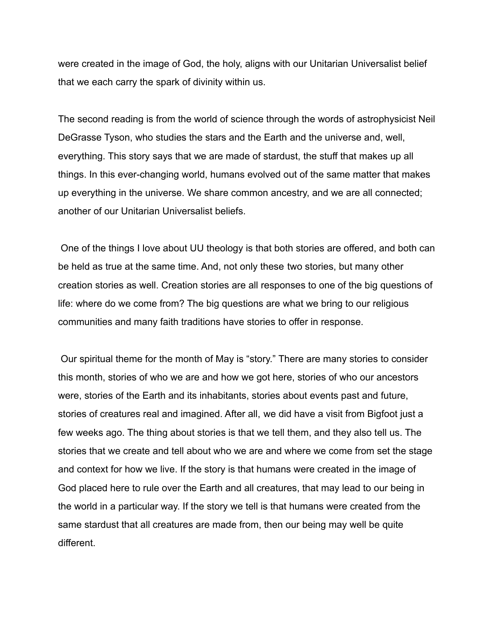were created in the image of God, the holy, aligns with our Unitarian Universalist belief that we each carry the spark of divinity within us.

The second reading is from the world of science through the words of astrophysicist Neil DeGrasse Tyson, who studies the stars and the Earth and the universe and, well, everything. This story says that we are made of stardust, the stuff that makes up all things. In this ever-changing world, humans evolved out of the same matter that makes up everything in the universe. We share common ancestry, and we are all connected; another of our Unitarian Universalist beliefs.

One of the things I love about UU theology is that both stories are offered, and both can be held as true at the same time. And, not only these two stories, but many other creation stories as well. Creation stories are all responses to one of the big questions of life: where do we come from? The big questions are what we bring to our religious communities and many faith traditions have stories to offer in response.

Our spiritual theme for the month of May is "story." There are many stories to consider this month, stories of who we are and how we got here, stories of who our ancestors were, stories of the Earth and its inhabitants, stories about events past and future, stories of creatures real and imagined. After all, we did have a visit from Bigfoot just a few weeks ago. The thing about stories is that we tell them, and they also tell us. The stories that we create and tell about who we are and where we come from set the stage and context for how we live. If the story is that humans were created in the image of God placed here to rule over the Earth and all creatures, that may lead to our being in the world in a particular way. If the story we tell is that humans were created from the same stardust that all creatures are made from, then our being may well be quite different.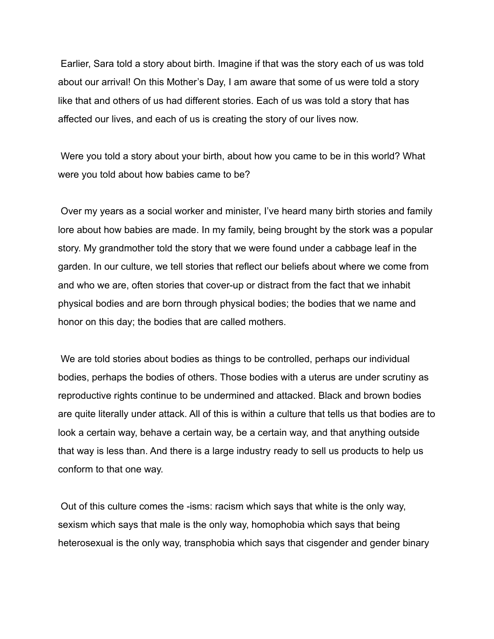Earlier, Sara told a story about birth. Imagine if that was the story each of us was told about our arrival! On this Mother's Day, I am aware that some of us were told a story like that and others of us had different stories. Each of us was told a story that has affected our lives, and each of us is creating the story of our lives now.

Were you told a story about your birth, about how you came to be in this world? What were you told about how babies came to be?

Over my years as a social worker and minister, I've heard many birth stories and family lore about how babies are made. In my family, being brought by the stork was a popular story. My grandmother told the story that we were found under a cabbage leaf in the garden. In our culture, we tell stories that reflect our beliefs about where we come from and who we are, often stories that cover-up or distract from the fact that we inhabit physical bodies and are born through physical bodies; the bodies that we name and honor on this day; the bodies that are called mothers.

We are told stories about bodies as things to be controlled, perhaps our individual bodies, perhaps the bodies of others. Those bodies with a uterus are under scrutiny as reproductive rights continue to be undermined and attacked. Black and brown bodies are quite literally under attack. All of this is within a culture that tells us that bodies are to look a certain way, behave a certain way, be a certain way, and that anything outside that way is less than. And there is a large industry ready to sell us products to help us conform to that one way.

Out of this culture comes the -isms: racism which says that white is the only way, sexism which says that male is the only way, homophobia which says that being heterosexual is the only way, transphobia which says that cisgender and gender binary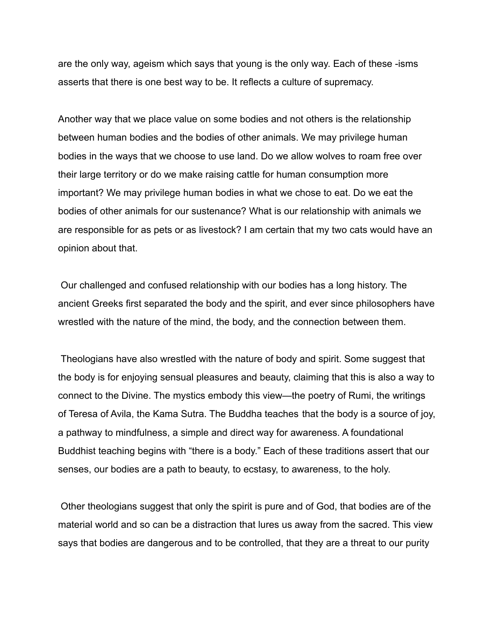are the only way, ageism which says that young is the only way. Each of these -isms asserts that there is one best way to be. It reflects a culture of supremacy.

Another way that we place value on some bodies and not others is the relationship between human bodies and the bodies of other animals. We may privilege human bodies in the ways that we choose to use land. Do we allow wolves to roam free over their large territory or do we make raising cattle for human consumption more important? We may privilege human bodies in what we chose to eat. Do we eat the bodies of other animals for our sustenance? What is our relationship with animals we are responsible for as pets or as livestock? I am certain that my two cats would have an opinion about that.

Our challenged and confused relationship with our bodies has a long history. The ancient Greeks first separated the body and the spirit, and ever since philosophers have wrestled with the nature of the mind, the body, and the connection between them.

Theologians have also wrestled with the nature of body and spirit. Some suggest that the body is for enjoying sensual pleasures and beauty, claiming that this is also a way to connect to the Divine. The mystics embody this view—the poetry of Rumi, the writings of Teresa of Avila, the Kama Sutra. The Buddha teaches that the body is a source of joy, a pathway to mindfulness, a simple and direct way for awareness. A foundational Buddhist teaching begins with "there is a body." Each of these traditions assert that our senses, our bodies are a path to beauty, to ecstasy, to awareness, to the holy.

Other theologians suggest that only the spirit is pure and of God, that bodies are of the material world and so can be a distraction that lures us away from the sacred. This view says that bodies are dangerous and to be controlled, that they are a threat to our purity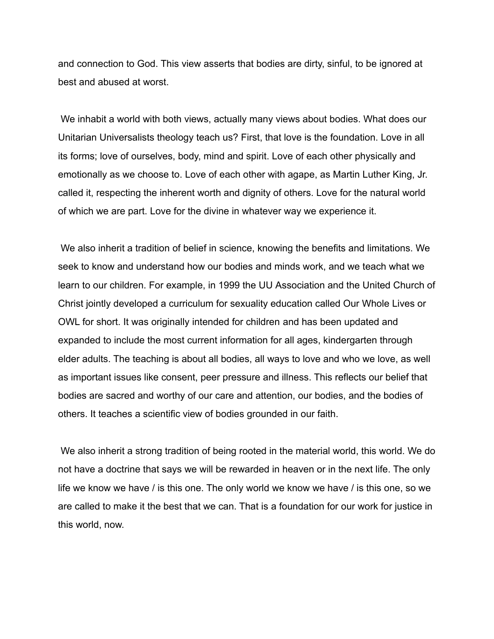and connection to God. This view asserts that bodies are dirty, sinful, to be ignored at best and abused at worst.

We inhabit a world with both views, actually many views about bodies. What does our Unitarian Universalists theology teach us? First, that love is the foundation. Love in all its forms; love of ourselves, body, mind and spirit. Love of each other physically and emotionally as we choose to. Love of each other with agape, as Martin Luther King, Jr. called it, respecting the inherent worth and dignity of others. Love for the natural world of which we are part. Love for the divine in whatever way we experience it.

We also inherit a tradition of belief in science, knowing the benefits and limitations. We seek to know and understand how our bodies and minds work, and we teach what we learn to our children. For example, in 1999 the UU Association and the United Church of Christ jointly developed a curriculum for sexuality education called Our Whole Lives or OWL for short. It was originally intended for children and has been updated and expanded to include the most current information for all ages, kindergarten through elder adults. The teaching is about all bodies, all ways to love and who we love, as well as important issues like consent, peer pressure and illness. This reflects our belief that bodies are sacred and worthy of our care and attention, our bodies, and the bodies of others. It teaches a scientific view of bodies grounded in our faith.

We also inherit a strong tradition of being rooted in the material world, this world. We do not have a doctrine that says we will be rewarded in heaven or in the next life. The only life we know we have / is this one. The only world we know we have / is this one, so we are called to make it the best that we can. That is a foundation for our work for justice in this world, now.